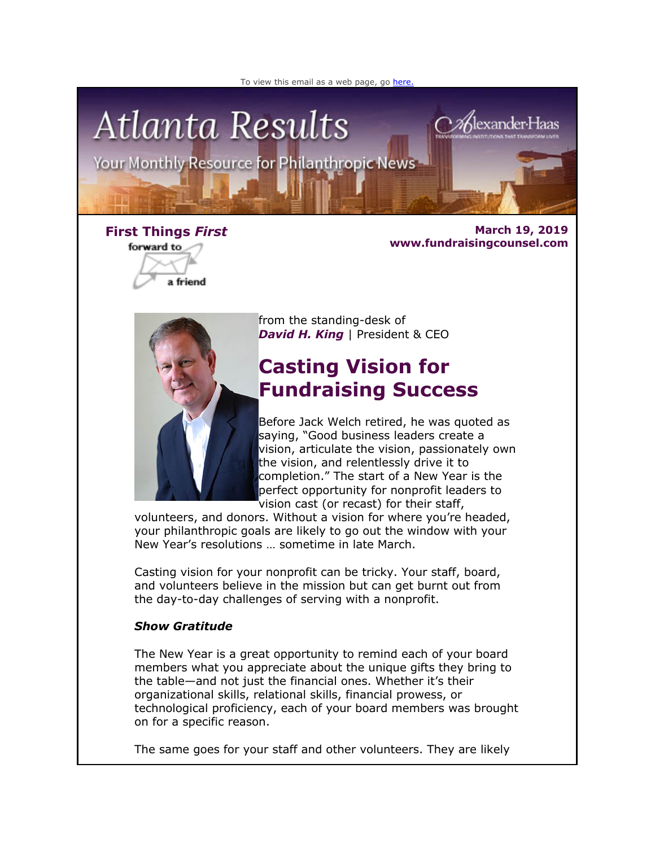



forward to a friend

**First Things** *First* **March 19, 2019 www.fundraisingcounsel.com**



from the standing-desk of **David H. King** | President & CEO

# **Casting Vision for Fundraising Success**

Before Jack Welch retired, he was quoted as saying, "Good business leaders create a vision, articulate the vision, passionately own the vision, and relentlessly drive it to completion." The start of a New Year is the perfect opportunity for nonprofit leaders to vision cast (or recast) for their staff,

volunteers, and donors. Without a vision for where you're headed, your philanthropic goals are likely to go out the window with your New Year's resolutions … sometime in late March.

Casting vision for your nonprofit can be tricky. Your staff, board, and volunteers believe in the mission but can get burnt out from the day-to-day challenges of serving with a nonprofit.

### *Show Gratitude*

The New Year is a great opportunity to remind each of your board members what you appreciate about the unique gifts they bring to the table—and not just the financial ones. Whether it's their organizational skills, relational skills, financial prowess, or technological proficiency, each of your board members was brought on for a specific reason.

The same goes for your staff and other volunteers. They are likely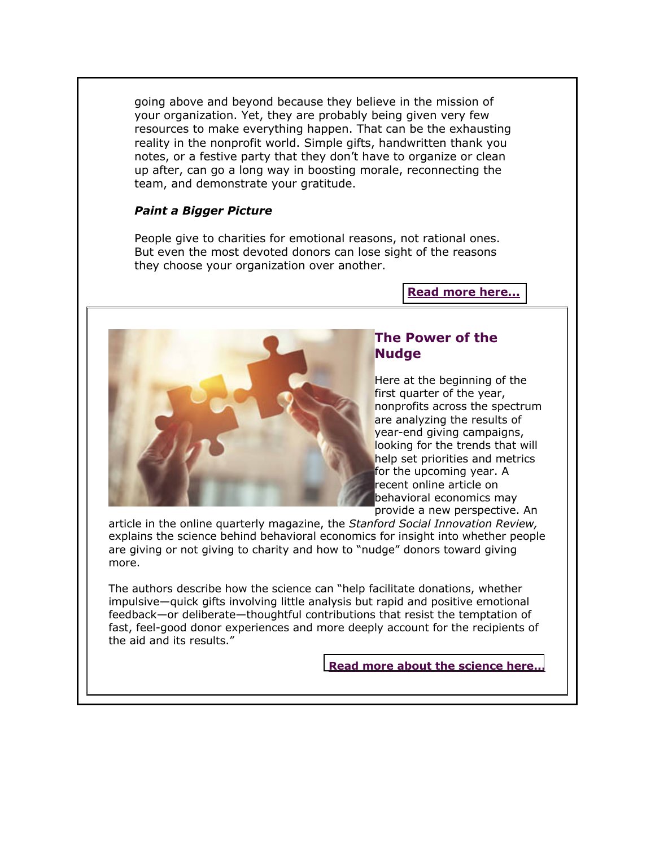going above and beyond because they believe in the mission of your organization. Yet, they are probably being given very few resources to make everything happen. That can be the exhausting reality in the nonprofit world. Simple gifts, handwritten thank you notes, or a festive party that they don't have to organize or clean up after, can go a long way in boosting morale, reconnecting the team, and demonstrate your gratitude.

### *Paint a Bigger Picture*

People give to charities for emotional reasons, not rational ones. But even the most devoted donors can lose sight of the reasons they choose your organization over another.

#### **[Read more here...](http://fundraisingcounsel.com/casting-vision-for-fundraising-success-in-2019/)**



### **The Power of the Nudge**

Here at the beginning of the first quarter of the year, nonprofits across the spectrum are analyzing the results of year-end giving campaigns, looking for the trends that will help set priorities and metrics for the upcoming year. A recent online article on behavioral economics may provide a new perspective. An

article in the online quarterly magazine, the *Stanford Social Innovation Review,* explains the science behind behavioral economics for insight into whether people are giving or not giving to charity and how to "nudge" donors toward giving more.

The authors describe how the science can "help facilitate donations, whether impulsive—quick gifts involving little analysis but rapid and positive emotional feedback—or deliberate—thoughtful contributions that resist the temptation of fast, feel-good donor experiences and more deeply account for the recipients of the aid and its results."

### **[Read more about the science here...](http://fundraisingcounsel.com/the-power-of-the-nudge/)**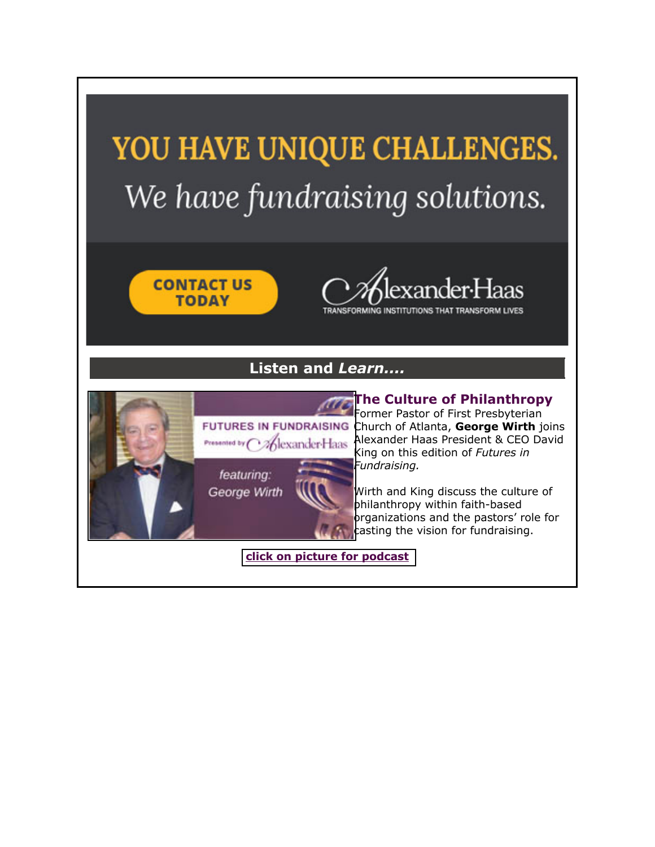# YOU HAVE UNIQUE CHALLENGES. We have fundraising solutions.





TRANSFORMING INSTITUTIONS THAT TRANSFORM LIVES

## **Listen and** *Learn....*



**[T](http://fundraisingcounsel.com/the-culture-of-philanthropy-within-faith-based-organizations-with-reverend-george-wirth/)he Culture of Philanthropy** Former Pastor of First Presbyterian FUTURES IN FUNDRAISING Church of Atlanta, George Wirth joins **Presented by CALexander Haas Alexander Haas President & CEO David** King on this edition of *Futures in* 

> Wirth and King discuss the culture of philanthropy within faith-based organizations and the pastors' role for casting the vision for fundraising.

**[click on picture for podcast](http://fundraisingcounsel.com/the-culture-of-philanthropy-within-faith-based-organizations-with-reverend-george-wirth/)**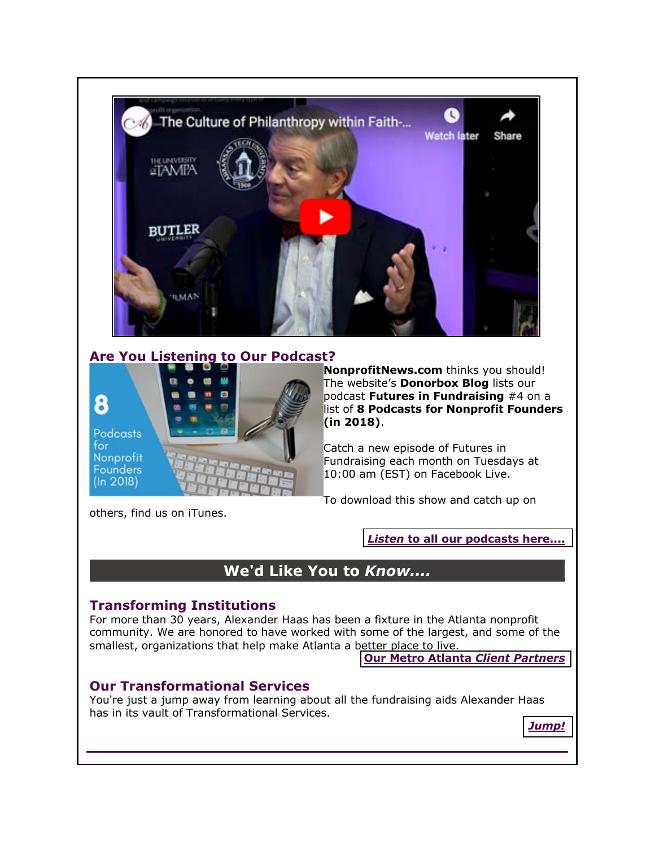

### **Are You Listening to Our Podcast?**



**NonprofitNews.com** thinks you should! The website's **Donorbox Blog** lists our podcast **Futures in Fundraising** #4 on a list of **8 Podcasts for Nonprofit Founders (in 2018)**.

Catch a new episode of Futures in Fundraising each month on Tuesdays at 10:00 am (EST) on Facebook Live.

To download this show and catch up on

others, find us on iTunes.

*Listen* **[to all our podcasts here....](http://fundraisingcounsel.com/news-views/futures-in-fundraising-podcasts/)**

## **We'd Like You to** *Know....*

### **Transforming Institutions**

For more than 30 years, Alexander Haas has been a fixture in the Atlanta nonprofit community. We are honored to have worked with some of the largest, and some of the smallest, organizations that help make Atlanta a better place to live.

**[Our Metro Atlanta](http://fundraisingcounsel.com/our-clients/)** *Client Partners*

### **Our Transformational Services**

You're just a jump away from learning about all the fundraising aids Alexander Haas has in its vault of Transformational Services.

*[Jump!](http://fundraisingcounsel.com/services/)*